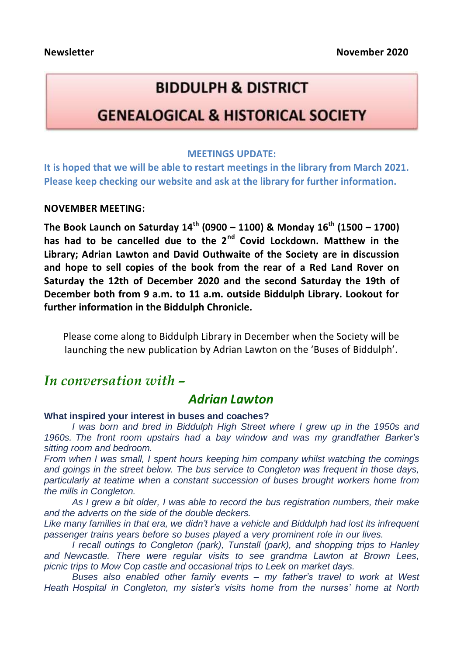# **BIDDULPH & DISTRICT**

## **GENEALOGICAL & HISTORICAL SOCIETY**

#### **MEETINGS UPDATE:**

**It is hoped that we will be able to restart meetings in the library from March 2021. Please keep checking our website and ask at the library for further information.**

#### **NOVEMBER MEETING:**

**The Book Launch on Saturday 14th (0900 – 1100) & Monday 16 th (1500 – 1700) has had to be cancelled due to the 2nd Covid Lockdown. Matthew in the Library; Adrian Lawton and David Outhwaite of the Society are in discussion and hope to sell copies of the book from the rear of a Red Land Rover on Saturday the 12th of December 2020 and the second Saturday the 19th of December both from 9 a.m. to 11 a.m. outside Biddulph Library. Lookout for further information in the Biddulph Chronicle.**

Please come along to Biddulph Library in December when the Society will be launching the new publication by Adrian Lawton on the 'Buses of Biddulph'.

## *In conversation with –*

### *Adrian Lawton*

#### **What inspired your interest in buses and coaches?**

*I was born and bred in Biddulph High Street where I grew up in the 1950s and 1960s. The front room upstairs had a bay window and was my grandfather Barker's sitting room and bedroom.*

*From when I was small, I spent hours keeping him company whilst watching the comings and goings in the street below. The bus service to Congleton was frequent in those days, particularly at teatime when a constant succession of buses brought workers home from the mills in Congleton.*

*As I grew a bit older, I was able to record the bus registration numbers, their make and the adverts on the side of the double deckers.*

*Like many families in that era, we didn't have a vehicle and Biddulph had lost its infrequent passenger trains years before so buses played a very prominent role in our lives.*

*I recall outings to Congleton (park), Tunstall (park), and shopping trips to Hanley and Newcastle. There were regular visits to see grandma Lawton at Brown Lees, picnic trips to Mow Cop castle and occasional trips to Leek on market days.*

*Buses also enabled other family events – my father's travel to work at West Heath Hospital in Congleton, my sister's visits home from the nurses' home at North*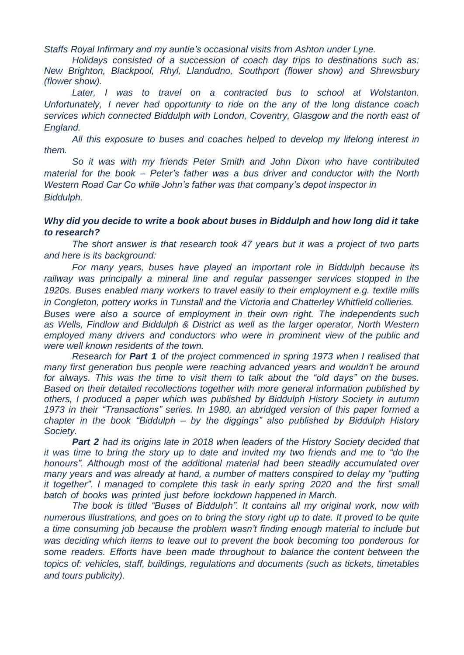*Staffs Royal Infirmary and my auntie's occasional visits from Ashton under Lyne.*

*Holidays consisted of a succession of coach day trips to destinations such as: New Brighton, Blackpool, Rhyl, Llandudno, Southport (flower show) and Shrewsbury (flower show).*

*Later, I was to travel on a contracted bus to school at Wolstanton. Unfortunately, I never had opportunity to ride on the any of the long distance coach services which connected Biddulph with London, Coventry, Glasgow and the north east of England.*

*All this exposure to buses and coaches helped to develop my lifelong interest in them.*

*So it was with my friends Peter Smith and John Dixon who have contributed material for the book – Peter's father was a bus driver and conductor with the North Western Road Car Co while John's father was that company's depot inspector in Biddulph.*

#### *Why did you decide to write a book about buses in Biddulph and how long did it take to research?*

*The short answer is that research took 47 years but it was a project of two parts and here is its background:*

*For many years, buses have played an important role in Biddulph because its railway was principally a mineral line and regular passenger services stopped in the 1920s. Buses enabled many workers to travel easily to their employment e.g. textile mills in Congleton, pottery works in Tunstall and the Victoria and Chatterley Whitfield collieries.*

*Buses were also a source of employment in their own right. The independents such as Wells, Findlow and Biddulph & District as well as the larger operator, North Western employed many drivers and conductors who were in prominent view of the public and were well known residents of the town.*

*Research for Part 1 of the project commenced in spring 1973 when I realised that many first generation bus people were reaching advanced years and wouldn't be around for always. This was the time to visit them to talk about the "old days" on the buses. Based on their detailed recollections together with more general information published by others, I produced a paper which was published by Biddulph History Society in autumn 1973 in their "Transactions" series. In 1980, an abridged version of this paper formed a chapter in the book "Biddulph – by the diggings" also published by Biddulph History Society.*

*Part 2 had its origins late in 2018 when leaders of the History Society decided that it was time to bring the story up to date and invited my two friends and me to "do the honours". Although most of the additional material had been steadily accumulated over many years and was already at hand, a number of matters conspired to delay my "putting it together". I managed to complete this task in early spring 2020 and the first small batch of books was printed just before lockdown happened in March.*

*The book is titled "Buses of Biddulph". It contains all my original work, now with numerous illustrations, and goes on to bring the story right up to date. It proved to be quite a time consuming job because the problem wasn't finding enough material to include but was deciding which items to leave out to prevent the book becoming too ponderous for some readers. Efforts have been made throughout to balance the content between the topics of: vehicles, staff, buildings, regulations and documents (such as tickets, timetables and tours publicity).*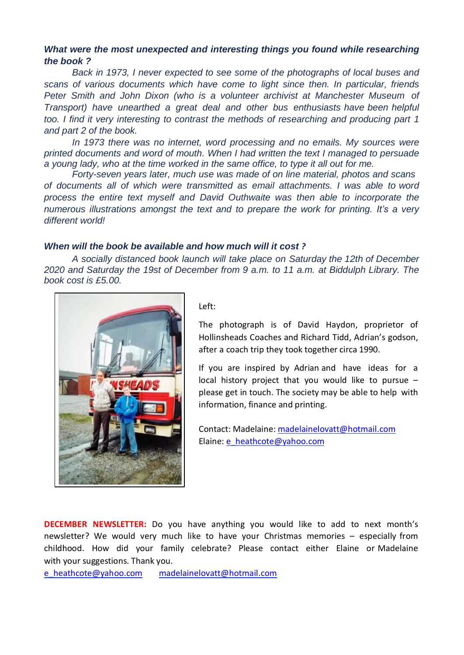#### *What were the most unexpected and interesting things you found while researching the book ?*

*Back in 1973, I never expected to see some of the photographs of local buses and scans of various documents which have come to light since then. In particular, friends Peter Smith and John Dixon (who is a volunteer archivist at Manchester Museum of Transport) have unearthed a great deal and other bus enthusiasts have been helpful too. I find it very interesting to contrast the methods of researching and producing part 1 and part 2 of the book.*

*In 1973 there was no internet, word processing and no emails. My sources were printed documents and word of mouth. When I had written the text I managed to persuade a young lady, who at the time worked in the same office, to type it all out for me.*

*Forty-seven years later, much use was made of on line material, photos and scans of documents all of which were transmitted as email attachments. I was able to word process the entire text myself and David Outhwaite was then able to incorporate the numerous illustrations amongst the text and to prepare the work for printing. It's a very different world!*

#### *When will the book be available and how much will it cost ?*

*A socially distanced book launch will take place on Saturday the 12th of December 2020 and Saturday the 19st of December from 9 a.m. to 11 a.m. at Biddulph Library. The book cost is £5.00.*



Left:

The photograph is of David Haydon, proprietor of Hollinsheads Coaches and Richard Tidd, Adrian's godson, after a coach trip they took together circa 1990.

If you are inspired by Adrian and have ideas for a local history project that you would like to pursue  $$ please get in touch. The society may be able to help with information, finance and printing.

Contact: Madelaine[: madelainelovatt@hotmail.com](mailto:madelainelovatt@hotmail.com) Elaine: [e\\_heathcote@yahoo.com](mailto:e_heathcote@yahoo.com)

**DECEMBER NEWSLETTER:** Do you have anything you would like to add to next month's newsletter? We would very much like to have your Christmas memories – especially from childhood. How did your family celebrate? Please contact either Elaine or Madelaine with your suggestions. Thank you.

[e\\_heathcote@yahoo.com madelainelovatt@hotmail.com](mailto:e_heathcote@yahoo.com)